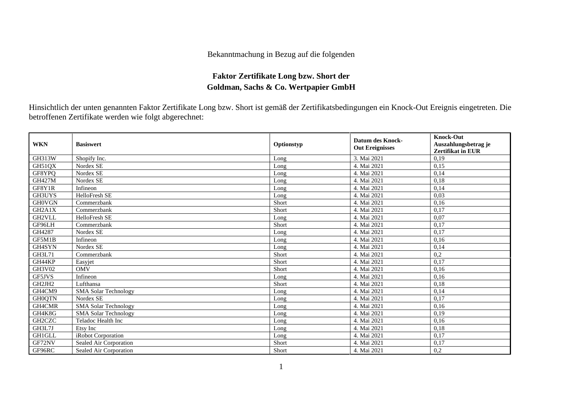## Bekanntmachung in Bezug auf die folgenden

## **Faktor Zertifikate Long bzw. Short der Goldman, Sachs & Co. Wertpapier GmbH**

Hinsichtlich der unten genannten Faktor Zertifikate Long bzw. Short ist gemäß der Zertifikatsbedingungen ein Knock-Out Ereignis eingetreten. Die betroffenen Zertifikate werden wie folgt abgerechnet:

| <b>WKN</b>                       | <b>Basiswert</b>            | Optionstyp | <b>Datum des Knock-</b><br><b>Out Ereignisses</b> | <b>Knock-Out</b><br>Auszahlungsbetrag je<br><b>Zertifikat in EUR</b> |
|----------------------------------|-----------------------------|------------|---------------------------------------------------|----------------------------------------------------------------------|
| GH313W                           | Shopify Inc.                | Long       | 3. Mai 2021                                       | 0,19                                                                 |
| GH51QX                           | Nordex SE                   | Long       | 4. Mai 2021                                       | 0,15                                                                 |
| GF8YPQ                           | Nordex SE                   | Long       | 4. Mai 2021                                       | 0,14                                                                 |
| <b>GH427M</b>                    | Nordex SE                   | Long       | 4. Mai 2021                                       | 0,18                                                                 |
| GF8Y1R                           | Infineon                    | Long       | 4. Mai 2021                                       | 0,14                                                                 |
| GH3UYS                           | HelloFresh SE               | Long       | 4. Mai 2021                                       | 0,03                                                                 |
| <b>GHOVGN</b>                    | Commerzbank                 | Short      | 4. Mai 2021                                       | 0,16                                                                 |
| GH <sub>2</sub> A <sub>1</sub> X | Commerzbank                 | Short      | 4. Mai 2021                                       | 0,17                                                                 |
| GH2VLL                           | HelloFresh SE               | Long       | 4. Mai 2021                                       | 0,07                                                                 |
| GF96LH                           | Commerzbank                 | Short      | 4. Mai 2021                                       | 0,17                                                                 |
| GH4287                           | Nordex SE                   | Long       | 4. Mai 2021                                       | 0,17                                                                 |
| GF5M1B                           | Infineon                    | Long       | 4. Mai 2021                                       | 0,16                                                                 |
| GH4SYN                           | Nordex SE                   | Long       | 4. Mai 2021                                       | 0,14                                                                 |
| <b>GH3L71</b>                    | Commerzbank                 | Short      | 4. Mai 2021                                       | 0,2                                                                  |
| GH44KP                           | Easyjet                     | Short      | 4. Mai 2021                                       | 0,17                                                                 |
| GH3V02                           | <b>OMV</b>                  | Short      | 4. Mai 2021                                       | 0,16                                                                 |
| GF5JVS                           | Infineon                    | Long       | 4. Mai 2021                                       | 0,16                                                                 |
| GH2JH2                           | Lufthansa                   | Short      | 4. Mai 2021                                       | 0,18                                                                 |
| GH4CM9                           | <b>SMA Solar Technology</b> | Long       | 4. Mai 2021                                       | 0,14                                                                 |
| <b>GH0QTN</b>                    | Nordex SE                   | Long       | 4. Mai 2021                                       | 0,17                                                                 |
| GH4CMR                           | <b>SMA Solar Technology</b> | Long       | 4. Mai 2021                                       | 0,16                                                                 |
| GH4K8G                           | <b>SMA Solar Technology</b> | Long       | 4. Mai 2021                                       | 0,19                                                                 |
| GH2CZC                           | Teladoc Health Inc          | Long       | 4. Mai 2021                                       | 0,16                                                                 |
| GH3L7J                           | Etsy Inc                    | Long       | 4. Mai 2021                                       | 0,18                                                                 |
| <b>GH1GLL</b>                    | iRobot Corporation          | Long       | 4. Mai 2021                                       | 0,17                                                                 |
| GF72NV                           | Sealed Air Corporation      | Short      | 4. Mai 2021                                       | 0,17                                                                 |
| GF96RC                           | Sealed Air Corporation      | Short      | 4. Mai 2021                                       | 0,2                                                                  |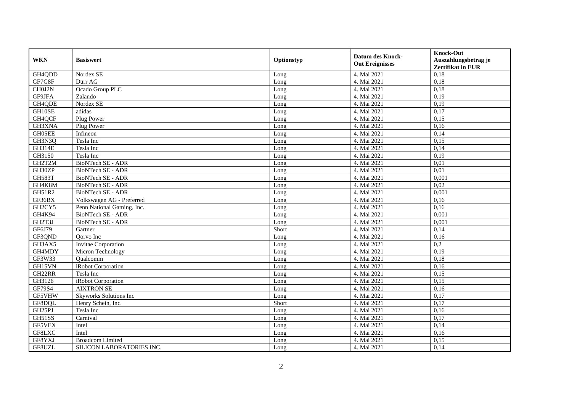| <b>WKN</b>    | <b>Basiswert</b>           | Optionstyp | <b>Datum des Knock-</b><br><b>Out Ereignisses</b> | <b>Knock-Out</b><br>Auszahlungsbetrag je<br>Zertifikat in EUR |
|---------------|----------------------------|------------|---------------------------------------------------|---------------------------------------------------------------|
| GH4QDD        | Nordex SE                  | Long       | 4. Mai 2021                                       | 0,18                                                          |
| GF7G8F        | Dürr AG                    | Long       | 4. Mai 2021                                       | 0,18                                                          |
| CH0J2N        | Ocado Group PLC            | Long       | 4. Mai 2021                                       | 0,18                                                          |
| GF9JFA        | Zalando                    | Long       | 4. Mai 2021                                       | 0,19                                                          |
| GH4QDE        | Nordex SE                  | Long       | 4. Mai 2021                                       | 0,19                                                          |
| GH10SE        | adidas                     | Long       | 4. Mai 2021                                       | 0,17                                                          |
| GH4QCF        | Plug Power                 | Long       | 4. Mai 2021                                       | 0,15                                                          |
| GH3XNA        | Plug Power                 | Long       | 4. Mai 2021                                       | 0,16                                                          |
| GH05EE        | Infineon                   | Long       | 4. Mai 2021                                       | 0,14                                                          |
| GH3N3Q        | Tesla Inc                  | Long       | 4. Mai 2021                                       | 0,15                                                          |
| <b>GH314E</b> | Tesla Inc                  | Long       | 4. Mai 2021                                       | 0,14                                                          |
| GH3150        | Tesla Inc                  | Long       | 4. Mai 2021                                       | 0,19                                                          |
| GH2T2M        | <b>BioNTech SE - ADR</b>   | Long       | 4. Mai 2021                                       | 0,01                                                          |
| GH30ZP        | <b>BioNTech SE - ADR</b>   | Long       | 4. Mai 2021                                       | 0,01                                                          |
| <b>GH583T</b> | BioNTech SE - ADR          | Long       | 4. Mai 2021                                       | 0,001                                                         |
| GH4K8M        | <b>BioNTech SE - ADR</b>   | Long       | 4. Mai 2021                                       | 0,02                                                          |
| GH51R2        | BioNTech SE - ADR          | Long       | 4. Mai 2021                                       | 0,001                                                         |
| GF36BX        | Volkswagen AG - Preferred  | Long       | 4. Mai 2021                                       | 0.16                                                          |
| GH2CY5        | Penn National Gaming, Inc. | Long       | 4. Mai 2021                                       | 0,16                                                          |
| GH4K94        | BioNTech SE - ADR          | Long       | 4. Mai 2021                                       | 0,001                                                         |
| GH2T3J        | BioNTech SE - ADR          | Long       | 4. Mai 2021                                       | 0,001                                                         |
| GF6J79        | Gartner                    | Short      | 4. Mai 2021                                       | 0,14                                                          |
| GF3QND        | Qorvo Inc                  | Long       | 4. Mai 2021                                       | 0,16                                                          |
| GH3AX5        | <b>Invitae Corporation</b> | Long       | 4. Mai 2021                                       | 0,2                                                           |
| GH4MDY        | Micron Technology          | Long       | 4. Mai 2021                                       | 0,19                                                          |
| GF3W33        | Qualcomm                   | Long       | 4. Mai 2021                                       | 0,18                                                          |
| GH15VN        | iRobot Corporation         | Long       | 4. Mai 2021                                       | 0,16                                                          |
| GH22RR        | Tesla Inc                  | Long       | 4. Mai 2021                                       | 0,15                                                          |
| GH3126        | iRobot Corporation         | Long       | 4. Mai 2021                                       | 0,15                                                          |
| GF79S4        | <b>AIXTRON SE</b>          | Long       | 4. Mai 2021                                       | 0,16                                                          |
| GF5VHW        | Skyworks Solutions Inc     | Long       | 4. Mai 2021                                       | 0,17                                                          |
| GF8DQL        | Henry Schein, Inc.         | Short      | 4. Mai 2021                                       | 0,17                                                          |
| GH25PJ        | Tesla Inc                  | Long       | 4. Mai 2021                                       | 0,16                                                          |
| GH51SS        | Carnival                   | Long       | 4. Mai 2021                                       | 0,17                                                          |
| GF5VEX        | Intel                      | Long       | 4. Mai 2021                                       | 0,14                                                          |
| GF8LXC        | Intel                      | Long       | 4. Mai 2021                                       | 0,16                                                          |
| GF8YXJ        | <b>Broadcom Limited</b>    | Long       | 4. Mai 2021                                       | 0,15                                                          |
| GF8UZL        | SILICON LABORATORIES INC.  | Long       | 4. Mai 2021                                       | 0,14                                                          |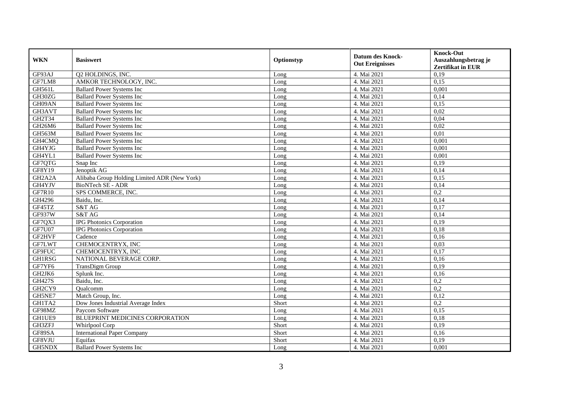| <b>WKN</b>                       | <b>Basiswert</b>                             | Optionstyp | <b>Datum des Knock-</b> | <b>Knock-Out</b>                                 |
|----------------------------------|----------------------------------------------|------------|-------------------------|--------------------------------------------------|
|                                  |                                              |            | <b>Out Ereignisses</b>  | Auszahlungsbetrag je<br><b>Zertifikat in EUR</b> |
| GF93AJ                           | Q2 HOLDINGS, INC.                            | Long       | 4. Mai 2021             | 0,19                                             |
| GF7LM8                           | AMKOR TECHNOLOGY, INC.                       | Long       | 4. Mai 2021             | 0,15                                             |
| <b>GH561L</b>                    | <b>Ballard Power Systems Inc.</b>            | Long       | 4. Mai 2021             | 0,001                                            |
| GH30ZG                           | <b>Ballard Power Systems Inc</b>             | Long       | 4. Mai 2021             | 0,14                                             |
| GH09AN                           | <b>Ballard Power Systems Inc</b>             | Long       | 4. Mai 2021             | 0,15                                             |
| GH3AVT                           | <b>Ballard Power Systems Inc</b>             | Long       | 4. Mai 2021             | 0,02                                             |
| GH2T34                           | <b>Ballard Power Systems Inc</b>             | Long       | 4. Mai 2021             | 0,04                                             |
| GH26M6                           | <b>Ballard Power Systems Inc</b>             | Long       | 4. Mai 2021             | 0,02                                             |
| <b>GH563M</b>                    | <b>Ballard Power Systems Inc</b>             | Long       | 4. Mai 2021             | 0,01                                             |
| GH4CMQ                           | <b>Ballard Power Systems Inc</b>             | Long       | 4. Mai 2021             | 0,001                                            |
| GH4YJG                           | <b>Ballard Power Systems Inc</b>             | Long       | 4. Mai 2021             | 0,001                                            |
| GH4YL1                           | <b>Ballard Power Systems Inc</b>             | Long       | 4. Mai 2021             | 0,001                                            |
| GF7QTG                           | Snap Inc                                     | Long       | 4. Mai 2021             | 0,19                                             |
| GF8Y19                           | Jenoptik AG                                  | Long       | 4. Mai 2021             | 0,14                                             |
| GH <sub>2</sub> A <sub>2</sub> A | Alibaba Group Holding Limited ADR (New York) | Long       | 4. Mai 2021             | 0,15                                             |
| GH4YJV                           | <b>BioNTech SE - ADR</b>                     | Long       | 4. Mai 2021             | 0,14                                             |
| GF7R10                           | SPS COMMERCE, INC.                           | Long       | 4. Mai 2021             | 0,2                                              |
| GH4296                           | Baidu, Inc.                                  | Long       | 4. Mai 2021             | 0,14                                             |
| GF45TZ                           | S&T AG                                       | Long       | 4. Mai 2021             | 0,17                                             |
| GF937W                           | S&T AG                                       | Long       | 4. Mai 2021             | 0,14                                             |
| GF7QX3                           | <b>IPG Photonics Corporation</b>             | Long       | 4. Mai 2021             | 0,19                                             |
| <b>GF7U07</b>                    | <b>IPG Photonics Corporation</b>             | Long       | 4. Mai 2021             | 0,18                                             |
| GF2HVF                           | Cadence                                      | Long       | 4. Mai 2021             | 0,16                                             |
| GF7LWT                           | CHEMOCENTRYX, INC                            | Long       | 4. Mai 2021             | 0,03                                             |
| GF9FUC                           | CHEMOCENTRYX, INC                            | Long       | 4. Mai 2021             | 0,17                                             |
| GH1RSG                           | NATIONAL BEVERAGE CORP.                      | Long       | 4. Mai 2021             | 0,16                                             |
| GF7YF6                           | TransDigm Group                              | Long       | 4. Mai 2021             | 0,19                                             |
| GH2JK6                           | Splunk Inc.                                  | Long       | 4. Mai 2021             | 0,16                                             |
| <b>GH427S</b>                    | Baidu, Inc.                                  | Long       | 4. Mai 2021             | 0,2                                              |
| GH2CY9                           | Qualcomm                                     | Long       | 4. Mai 2021             | 0,2                                              |
| GH5NE7                           | Match Group, Inc.                            | Long       | 4. Mai 2021             | 0,12                                             |
| GH1TA2                           | Dow Jones Industrial Average Index           | Short      | 4. Mai 2021             | 0,2                                              |
| GF98MZ                           | Paycom Software                              | Long       | 4. Mai 2021             | 0,15                                             |
| GH1UE9                           | BLUEPRINT MEDICINES CORPORATION              | Long       | 4. Mai 2021             | 0,18                                             |
| GH3ZFJ                           | Whirlpool Corp                               | Short      | 4. Mai 2021             | 0,19                                             |
| GF89SA                           | <b>International Paper Company</b>           | Short      | 4. Mai 2021             | 0,16                                             |
| GF8VJU                           | Equifax                                      | Short      | 4. Mai 2021             | 0,19                                             |
| GH5NDX                           | <b>Ballard Power Systems Inc</b>             | Long       | 4. Mai 2021             | 0,001                                            |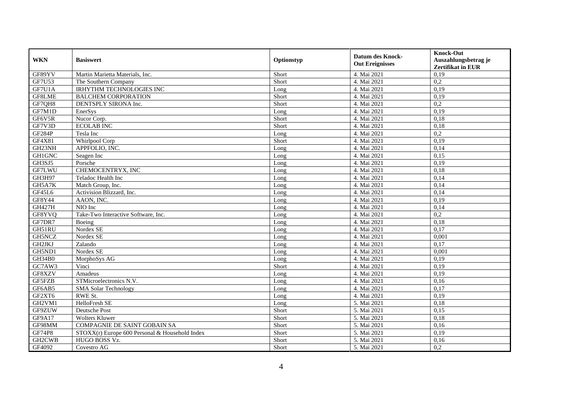| <b>WKN</b>    | <b>Basiswert</b>                               | Optionstyp | <b>Datum des Knock-</b> | <b>Knock-Out</b>         |
|---------------|------------------------------------------------|------------|-------------------------|--------------------------|
|               |                                                |            | <b>Out Ereignisses</b>  | Auszahlungsbetrag je     |
|               |                                                |            |                         | <b>Zertifikat in EUR</b> |
| GF89YV        | Martin Marietta Materials, Inc.                | Short      | 4. Mai 2021             | 0,19                     |
| GF7U53        | The Southern Company                           | Short      | 4. Mai 2021             | 0,2                      |
| GF7U1A        | <b>IRHYTHM TECHNOLOGIES INC</b>                | Long       | 4. Mai 2021             | 0,19                     |
| GF8LME        | <b>BALCHEM CORPORATION</b>                     | Short      | 4. Mai 2021             | 0,19                     |
| GF7QH8        | DENTSPLY SIRONA Inc.                           | Short      | 4. Mai 2021             | 0,2                      |
| GF7M1D        | EnerSys                                        | Long       | 4. Mai 2021             | 0,19                     |
| GF6V5R        | Nucor Corp.                                    | Short      | 4. Mai 2021             | 0,18                     |
| GF7V3D        | <b>ECOLAB INC</b>                              | Short      | 4. Mai 2021             | 0,18                     |
| <b>GF284P</b> | Tesla Inc                                      | Long       | 4. Mai 2021             | 0,2                      |
| GF4X81        | Whirlpool Corp                                 | Short      | 4. Mai 2021             | 0,19                     |
| GH23NH        | APPFOLIO, INC.                                 | Long       | 4. Mai 2021             | 0,14                     |
| <b>GH1GNC</b> | Seagen Inc                                     | Long       | 4. Mai 2021             | 0,15                     |
| GH3SJ5        | Porsche                                        | Long       | 4. Mai 2021             | 0,19                     |
| GF7LWU        | CHEMOCENTRYX, INC                              | Long       | 4. Mai 2021             | 0,18                     |
| GH3H97        | Teladoc Health Inc                             | Long       | 4. Mai 2021             | 0,14                     |
| GH5A7K        | Match Group, Inc.                              | Long       | 4. Mai 2021             | 0,14                     |
| GF45L6        | Activision Blizzard, Inc.                      | Long       | 4. Mai 2021             | 0,14                     |
| GF8Y44        | AAON, INC.                                     | Long       | 4. Mai 2021             | 0,19                     |
| GH427H        | NIO Inc                                        | Long       | 4. Mai 2021             | 0,14                     |
| GF8YVQ        | Take-Two Interactive Software, Inc.            | Long       | 4. Mai 2021             | 0,2                      |
| GF7DR7        | Boeing                                         | Long       | 4. Mai 2021             | 0,18                     |
| GH51RU        | Nordex SE                                      | Long       | 4. Mai 2021             | 0,17                     |
| GH5NCZ        | Nordex SE                                      | Long       | 4. Mai 2021             | 0,001                    |
| GH2JKJ        | Zalando                                        | Long       | 4. Mai 2021             | 0,17                     |
| GH5ND1        | Nordex SE                                      | Long       | 4. Mai 2021             | 0,001                    |
| GH34B0        | MorphoSys AG                                   | Long       | 4. Mai 2021             | 0,19                     |
| GC7AW3        | Vinci                                          | Short      | 4. Mai 2021             | 0,19                     |
| GF8XZV        | Amadeus                                        | Long       | 4. Mai 2021             | 0,19                     |
| GF5FZB        | STMicroelectronics N.V.                        | Long       | 4. Mai 2021             | 0,16                     |
| GF6AB5        | <b>SMA Solar Technology</b>                    | Long       | 4. Mai 2021             | 0,17                     |
| GF2XT6        | RWE St.                                        | Long       | 4. Mai 2021             | 0,19                     |
| GH2VM1        | HelloFresh SE                                  | Long       | 5. Mai 2021             | 0,18                     |
| GF9ZUW        | Deutsche Post                                  | Short      | 5. Mai 2021             | 0,15                     |
| GF9A17        | <b>Wolters Kluwer</b>                          | Short      | 5. Mai 2021             | 0,18                     |
| GF98MM        | <b>COMPAGNIE DE SAINT GOBAIN SA</b>            | Short      | 5. Mai 2021             | 0,16                     |
| <b>GF74P8</b> | STOXX(r) Europe 600 Personal & Household Index | Short      | 5. Mai 2021             | 0,19                     |
| GH2CWB        | HUGO BOSS Vz.                                  | Short      | 5. Mai 2021             | 0,16                     |
| GF4092        | Covestro AG                                    | Short      | 5. Mai 2021             | 0,2                      |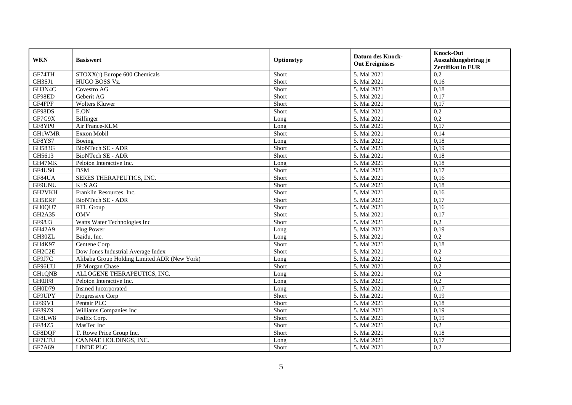| <b>WKN</b>    | <b>Basiswert</b>                             | Optionstyp | <b>Datum des Knock-</b><br><b>Out Ereignisses</b> | <b>Knock-Out</b><br>Auszahlungsbetrag je<br><b>Zertifikat in EUR</b> |
|---------------|----------------------------------------------|------------|---------------------------------------------------|----------------------------------------------------------------------|
| GF74TH        | STOXX(r) Europe 600 Chemicals                | Short      | 5. Mai 2021                                       | 0,2                                                                  |
| GH3SJ1        | HUGO BOSS Vz.                                | Short      | 5. Mai 2021                                       | 0,16                                                                 |
| GH3N4C        | Covestro AG                                  | Short      | 5. Mai 2021                                       | 0,18                                                                 |
| GF98ED        | Geberit AG                                   | Short      | 5. Mai 2021                                       | 0,17                                                                 |
| GF4FPF        | <b>Wolters Kluwer</b>                        | Short      | 5. Mai 2021                                       | 0,17                                                                 |
| GF98DS        | E.ON                                         | Short      | 5. Mai 2021                                       | 0,2                                                                  |
| GF7G9X        | Bilfinger                                    | Long       | 5. Mai 2021                                       | 0,2                                                                  |
| GF8YP0        | Air France-KLM                               | Long       | 5. Mai 2021                                       | 0,17                                                                 |
| <b>GH1WMR</b> | Exxon Mobil                                  | Short      | 5. Mai 2021                                       | 0,14                                                                 |
| GF8YS7        | Boeing                                       | Long       | 5. Mai 2021                                       | 0,18                                                                 |
| <b>GH583G</b> | BioNTech SE - ADR                            | Short      | 5. Mai 2021                                       | 0,19                                                                 |
| GH5613        | <b>BioNTech SE - ADR</b>                     | Short      | 5. Mai 2021                                       | 0,18                                                                 |
| GH47MK        | Peloton Interactive Inc.                     | Long       | 5. Mai 2021                                       | 0,18                                                                 |
| GF4US0        | <b>DSM</b>                                   | Short      | 5. Mai 2021                                       | 0,17                                                                 |
| GF84UA        | SERES THERAPEUTICS, INC.                     | Short      | 5. Mai 2021                                       | 0,16                                                                 |
| GF9UNU        | $K+SAG$                                      | Short      | 5. Mai 2021                                       | 0,18                                                                 |
| GH2VKH        | Franklin Resources, Inc.                     | Short      | 5. Mai 2021                                       | 0,16                                                                 |
| GH5ERF        | BioNTech SE - ADR                            | Short      | 5. Mai 2021                                       | 0,17                                                                 |
| GH0QU7        | RTL Group                                    | Short      | 5. Mai 2021                                       | 0,16                                                                 |
| GH2A35        | <b>OMV</b>                                   | Short      | 5. Mai 2021                                       | 0,17                                                                 |
| GF98J3        | Watts Water Technologies Inc                 | Short      | 5. Mai 2021                                       | 0,2                                                                  |
| <b>GH42A9</b> | Plug Power                                   | Long       | 5. Mai 2021                                       | 0,19                                                                 |
| GH30ZL        | Baidu, Inc.                                  | Long       | 5. Mai 2021                                       | 0,2                                                                  |
| GH4K97        | Centene Corp                                 | Short      | 5. Mai 2021                                       | 0,18                                                                 |
| GH2C2E        | Dow Jones Industrial Average Index           | Short      | 5. Mai 2021                                       | 0,2                                                                  |
| GF9J7C        | Alibaba Group Holding Limited ADR (New York) | Long       | 5. Mai 2021                                       | 0,2                                                                  |
| GF96UU        | JP Morgan Chase                              | Short      | 5. Mai 2021                                       | 0,2                                                                  |
| GH1QNB        | ALLOGENE THERAPEUTICS, INC.                  | Long       | 5. Mai 2021                                       | 0,2                                                                  |
| GH0JF8        | Peloton Interactive Inc.                     | Long       | 5. Mai 2021                                       | 0,2                                                                  |
| GH0D79        | Insmed Incorporated                          | Long       | 5. Mai 2021                                       | 0,17                                                                 |
| GF9UPY        | Progressive Corp                             | Short      | 5. Mai 2021                                       | 0,19                                                                 |
| GF99V1        | Pentair PLC                                  | Short      | 5. Mai 2021                                       | 0,18                                                                 |
| GF89Z9        | Williams Companies Inc                       | Short      | 5. Mai 2021                                       | 0,19                                                                 |
| GF8LW8        | FedEx Corp.                                  | Short      | 5. Mai 2021                                       | 0,19                                                                 |
| GF84Z5        | MasTec Inc                                   | Short      | 5. Mai 2021                                       | $\overline{0.2}$                                                     |
| GF8DQF        | T. Rowe Price Group Inc.                     | Short      | 5. Mai 2021                                       | 0,18                                                                 |
| GF7LTU        | CANNAE HOLDINGS, INC.                        | Long       | 5. Mai 2021                                       | 0,17                                                                 |
| GF7A69        | <b>LINDE PLC</b>                             | Short      | 5. Mai 2021                                       | 0,2                                                                  |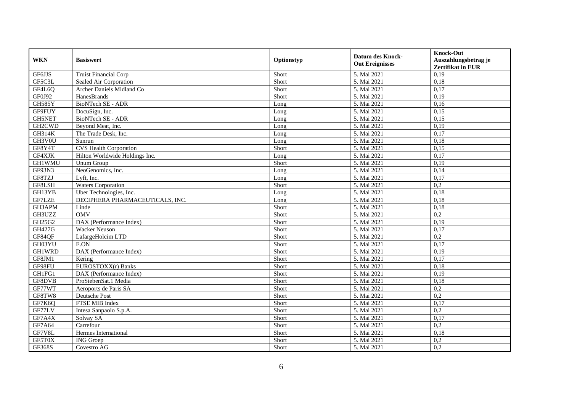| <b>WKN</b>    | <b>Basiswert</b>                | Optionstyp | <b>Datum des Knock-</b> | <b>Knock-Out</b>                                 |
|---------------|---------------------------------|------------|-------------------------|--------------------------------------------------|
|               |                                 |            | <b>Out Ereignisses</b>  | Auszahlungsbetrag je<br><b>Zertifikat in EUR</b> |
| GF6JJS        | <b>Truist Financial Corp</b>    | Short      | 5. Mai 2021             | 0,19                                             |
| GF5C3L        | Sealed Air Corporation          | Short      | 5. Mai 2021             | 0,18                                             |
| GF4L6Q        | Archer Daniels Midland Co       | Short      | 5. Mai 2021             | 0,17                                             |
| GF0J92        | HanesBrands                     | Short      | 5. Mai 2021             | 0,19                                             |
| <b>GH585Y</b> | <b>BioNTech SE - ADR</b>        | Long       | 5. Mai 2021             | 0,16                                             |
| GF9FUY        | DocuSign, Inc.                  | Long       | 5. Mai 2021             | 0,15                                             |
| GH5NET        | BioNTech SE - ADR               | Long       | 5. Mai 2021             | 0,15                                             |
| GH2CWD        | Beyond Meat, Inc.               | Long       | 5. Mai 2021             | 0,19                                             |
| <b>GH314K</b> | The Trade Desk, Inc.            | Long       | 5. Mai 2021             | 0,17                                             |
| GH3V0U        | Sunrun                          | Long       | 5. Mai 2021             | 0,18                                             |
| GF8Y4T        | <b>CVS</b> Health Corporation   | Short      | 5. Mai 2021             | 0,15                                             |
| GF4XJK        | Hilton Worldwide Holdings Inc.  | Long       | 5. Mai 2021             | 0,17                                             |
| <b>GH1WMU</b> | Unum Group                      | Short      | 5. Mai 2021             | 0,19                                             |
| GF93N3        | NeoGenomics, Inc.               | Long       | 5. Mai 2021             | 0,14                                             |
| GF8TZJ        | Lyft, Inc.                      | Long       | 5. Mai 2021             | 0,17                                             |
| GF8LSH        | <b>Waters Corporation</b>       | Short      | 5. Mai 2021             | 0,2                                              |
| GH13YB        | Uber Technologies, Inc.         | Long       | 5. Mai 2021             | 0,18                                             |
| GF7LZE        | DECIPHERA PHARMACEUTICALS, INC. | Long       | 5. Mai 2021             | 0,18                                             |
| GH3APM        | Linde                           | Short      | 5. Mai 2021             | 0,18                                             |
| GH3UZZ        | <b>OMV</b>                      | Short      | 5. Mai 2021             | 0,2                                              |
| GH25G2        | DAX (Performance Index)         | Short      | 5. Mai 2021             | 0,19                                             |
| <b>GH427G</b> | <b>Wacker Neuson</b>            | Short      | 5. Mai 2021             | 0,17                                             |
| GF84QF        | LafargeHolcim LTD               | Short      | 5. Mai 2021             | 0,2                                              |
| GH03YU        | E.ON                            | Short      | 5. Mai 2021             | 0,17                                             |
| <b>GH1WRD</b> | DAX (Performance Index)         | Short      | 5. Mai 2021             | 0,19                                             |
| GF8JM1        | Kering                          | Short      | 5. Mai 2021             | 0,17                                             |
| GF98FU        | EUROSTOXX(r) Banks              | Short      | 5. Mai 2021             | 0,18                                             |
| GH1FG1        | DAX (Performance Index)         | Short      | 5. Mai 2021             | 0,19                                             |
| GF8DVB        | ProSiebenSat.1 Media            | Short      | 5. Mai 2021             | 0,18                                             |
| GF77WT        | Aeroports de Paris SA           | Short      | 5. Mai 2021             | 0,2                                              |
| GF8TW8        | Deutsche Post                   | Short      | 5. Mai 2021             | 0,2                                              |
| GF7K6Q        | FTSE MIB Index                  | Short      | 5. Mai 2021             | 0,17                                             |
| GF77LV        | Intesa Sanpaolo S.p.A.          | Short      | 5. Mai 2021             | 0,2                                              |
| GF7A4X        | Solvay SA                       | Short      | 5. Mai 2021             | 0,17                                             |
| GF7A64        | Carrefour                       | Short      | 5. Mai 2021             | 0,2                                              |
| GF7V8L        | Hermes International            | Short      | 5. Mai 2021             | 0,18                                             |
| GF5T0X        | <b>ING</b> Groep                | Short      | 5. Mai 2021             | 0,2                                              |
| <b>GF368S</b> | Covestro AG                     | Short      | 5. Mai 2021             | $\overline{0,2}$                                 |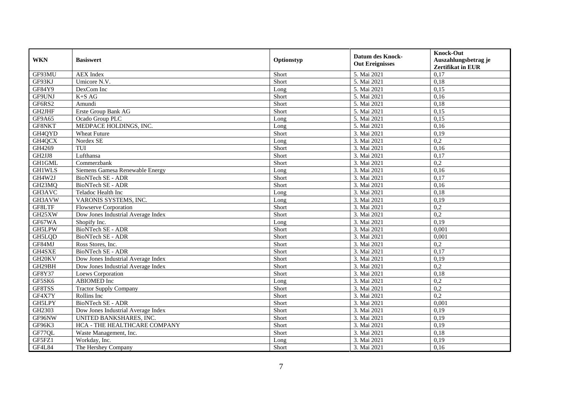| <b>WKN</b>    | <b>Basiswert</b>                   | Optionstyp | <b>Datum des Knock-</b><br><b>Out Ereignisses</b> | <b>Knock-Out</b><br>Auszahlungsbetrag je<br>Zertifikat in EUR |
|---------------|------------------------------------|------------|---------------------------------------------------|---------------------------------------------------------------|
| GF93MU        | <b>AEX</b> Index                   | Short      | 5. Mai 2021                                       | 0,17                                                          |
| GF93KJ        | Umicore N.V.                       | Short      | 5. Mai 2021                                       | 0,18                                                          |
| GF84Y9        | DexCom Inc                         | Long       | 5. Mai 2021                                       | 0,15                                                          |
| GF9UNJ        | $K+SAG$                            | Short      | 5. Mai 2021                                       | 0,16                                                          |
| GF6RS2        | Amundi                             | Short      | 5. Mai 2021                                       | 0,18                                                          |
| GH2JHF        | Erste Group Bank AG                | Short      | 5. Mai 2021                                       | 0,15                                                          |
| GF9A65        | Ocado Group PLC                    | Long       | 5. Mai 2021                                       | 0,15                                                          |
| GF8NKT        | MEDPACE HOLDINGS, INC.             | Long       | 5. Mai 2021                                       | 0,16                                                          |
| GH4QYD        | <b>Wheat Future</b>                | Short      | 3. Mai 2021                                       | 0,19                                                          |
| GH4QCX        | Nordex SE                          | Long       | 3. Mai 2021                                       | 0,2                                                           |
| GH4269        | TUI                                | Short      | 3. Mai 2021                                       | 0,16                                                          |
| GH2JJ8        | Lufthansa                          | Short      | 3. Mai 2021                                       | 0,17                                                          |
| <b>GH1GML</b> | Commerzbank                        | Short      | 3. Mai 2021                                       | 0,2                                                           |
| <b>GH1WLS</b> | Siemens Gamesa Renewable Energy    | Long       | 3. Mai 2021                                       | 0,16                                                          |
| GH4W2J        | BioNTech SE - ADR                  | Short      | 3. Mai 2021                                       | 0,17                                                          |
| GH23MQ        | <b>BioNTech SE - ADR</b>           | Short      | 3. Mai 2021                                       | 0,16                                                          |
| GH3AVC        | Teladoc Health Inc                 | Long       | 3. Mai 2021                                       | 0,18                                                          |
| GH3AVW        | VARONIS SYSTEMS, INC.              | Long       | 3. Mai 2021                                       | 0,19                                                          |
| GF8LTF        | <b>Flowserve Corporation</b>       | Short      | 3. Mai 2021                                       | 0,2                                                           |
| GH25XW        | Dow Jones Industrial Average Index | Short      | 3. Mai 2021                                       | 0,2                                                           |
| GF67WA        | Shopify Inc.                       | Long       | 3. Mai 2021                                       | 0,19                                                          |
| <b>GH5LPW</b> | <b>BioNTech SE - ADR</b>           | Short      | 3. Mai 2021                                       | 0,001                                                         |
| GH5LQD        | BioNTech SE - ADR                  | Short      | 3. Mai 2021                                       | 0,001                                                         |
| GF84MJ        | Ross Stores, Inc.                  | Short      | 3. Mai 2021                                       | 0,2                                                           |
| GH4SXE        | BioNTech SE - ADR                  | Short      | 3. Mai 2021                                       | 0,17                                                          |
| GH20KV        | Dow Jones Industrial Average Index | Short      | 3. Mai 2021                                       | 0,19                                                          |
| GH29BH        | Dow Jones Industrial Average Index | Short      | 3. Mai 2021                                       | 0,2                                                           |
| GF8Y37        | Loews Corporation                  | Short      | 3. Mai 2021                                       | 0,18                                                          |
| GF5SK6        | ABIOMED Inc                        | Long       | 3. Mai 2021                                       | 0,2                                                           |
| GF8TSS        | <b>Tractor Supply Company</b>      | Short      | 3. Mai 2021                                       | 0,2                                                           |
| GF4X7Y        | Rollins Inc                        | Short      | 3. Mai 2021                                       | 0,2                                                           |
| GH5LPY        | BioNTech SE - ADR                  | Short      | 3. Mai 2021                                       | 0,001                                                         |
| GH2303        | Dow Jones Industrial Average Index | Short      | 3. Mai 2021                                       | 0,19                                                          |
| GF96NW        | UNITED BANKSHARES, INC.            | Short      | 3. Mai 2021                                       | 0,19                                                          |
| GF96K3        | HCA - THE HEALTHCARE COMPANY       | Short      | 3. Mai 2021                                       | 0,19                                                          |
| GF77QL        | Waste Management, Inc.             | Short      | 3. Mai 2021                                       | 0,18                                                          |
| GF5FZ1        | Workday, Inc.                      | Long       | 3. Mai 2021                                       | 0,19                                                          |
| <b>GF4L84</b> | The Hershey Company                | Short      | 3. Mai 2021                                       | 0,16                                                          |